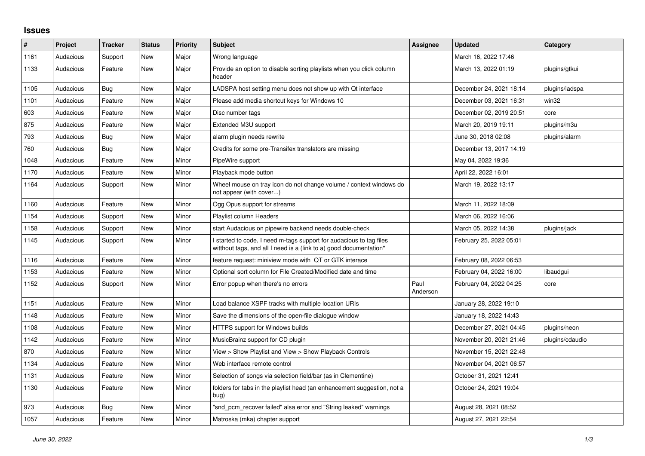## **Issues**

| #    | Project   | <b>Tracker</b> | <b>Status</b> | <b>Priority</b> | <b>Subject</b>                                                                                                                            | Assignee         | <b>Updated</b>          | Category        |
|------|-----------|----------------|---------------|-----------------|-------------------------------------------------------------------------------------------------------------------------------------------|------------------|-------------------------|-----------------|
| 1161 | Audacious | Support        | <b>New</b>    | Major           | Wrong language                                                                                                                            |                  | March 16, 2022 17:46    |                 |
| 1133 | Audacious | Feature        | New           | Major           | Provide an option to disable sorting playlists when you click column<br>header                                                            |                  | March 13, 2022 01:19    | plugins/gtkui   |
| 1105 | Audacious | Bug            | <b>New</b>    | Major           | LADSPA host setting menu does not show up with Qt interface                                                                               |                  | December 24, 2021 18:14 | plugins/ladspa  |
| 1101 | Audacious | Feature        | New           | Major           | Please add media shortcut keys for Windows 10                                                                                             |                  | December 03, 2021 16:31 | win32           |
| 603  | Audacious | Feature        | New           | Major           | Disc number tags                                                                                                                          |                  | December 02, 2019 20:51 | core            |
| 875  | Audacious | Feature        | <b>New</b>    | Major           | Extended M3U support                                                                                                                      |                  | March 20, 2019 19:11    | plugins/m3u     |
| 793  | Audacious | <b>Bug</b>     | New           | Major           | alarm plugin needs rewrite                                                                                                                |                  | June 30, 2018 02:08     | plugins/alarm   |
| 760  | Audacious | Bug            | New           | Major           | Credits for some pre-Transifex translators are missing                                                                                    |                  | December 13, 2017 14:19 |                 |
| 1048 | Audacious | Feature        | <b>New</b>    | Minor           | PipeWire support                                                                                                                          |                  | May 04, 2022 19:36      |                 |
| 1170 | Audacious | Feature        | New           | Minor           | Playback mode button                                                                                                                      |                  | April 22, 2022 16:01    |                 |
| 1164 | Audacious | Support        | New           | Minor           | Wheel mouse on tray icon do not change volume / context windows do<br>not appear (with cover)                                             |                  | March 19, 2022 13:17    |                 |
| 1160 | Audacious | Feature        | New           | Minor           | Ogg Opus support for streams                                                                                                              |                  | March 11, 2022 18:09    |                 |
| 1154 | Audacious | Support        | New           | Minor           | Playlist column Headers                                                                                                                   |                  | March 06, 2022 16:06    |                 |
| 1158 | Audacious | Support        | New           | Minor           | start Audacious on pipewire backend needs double-check                                                                                    |                  | March 05, 2022 14:38    | plugins/jack    |
| 1145 | Audacious | Support        | New           | Minor           | I started to code, I need m-tags support for audacious to tag files<br>witthout tags, and all I need is a (link to a) good documentation* |                  | February 25, 2022 05:01 |                 |
| 1116 | Audacious | Feature        | New           | Minor           | feature request: miniview mode with QT or GTK interace                                                                                    |                  | February 08, 2022 06:53 |                 |
| 1153 | Audacious | Feature        | New           | Minor           | Optional sort column for File Created/Modified date and time                                                                              |                  | February 04, 2022 16:00 | libaudgui       |
| 1152 | Audacious | Support        | New           | Minor           | Error popup when there's no errors                                                                                                        | Paul<br>Anderson | February 04, 2022 04:25 | core            |
| 1151 | Audacious | Feature        | <b>New</b>    | Minor           | Load balance XSPF tracks with multiple location URIs                                                                                      |                  | January 28, 2022 19:10  |                 |
| 1148 | Audacious | Feature        | New           | Minor           | Save the dimensions of the open-file dialogue window                                                                                      |                  | January 18, 2022 14:43  |                 |
| 1108 | Audacious | Feature        | <b>New</b>    | Minor           | HTTPS support for Windows builds                                                                                                          |                  | December 27, 2021 04:45 | plugins/neon    |
| 1142 | Audacious | Feature        | <b>New</b>    | Minor           | MusicBrainz support for CD plugin                                                                                                         |                  | November 20, 2021 21:46 | plugins/cdaudio |
| 870  | Audacious | Feature        | New           | Minor           | View > Show Playlist and View > Show Playback Controls                                                                                    |                  | November 15, 2021 22:48 |                 |
| 1134 | Audacious | Feature        | New           | Minor           | Web interface remote control                                                                                                              |                  | November 04, 2021 06:57 |                 |
| 1131 | Audacious | Feature        | New           | Minor           | Selection of songs via selection field/bar (as in Clementine)                                                                             |                  | October 31, 2021 12:41  |                 |
| 1130 | Audacious | Feature        | <b>New</b>    | Minor           | folders for tabs in the playlist head (an enhancement suggestion, not a<br>bug)                                                           |                  | October 24, 2021 19:04  |                 |
| 973  | Audacious | <b>Bug</b>     | New           | Minor           | "snd_pcm_recover failed" alsa error and "String leaked" warnings                                                                          |                  | August 28, 2021 08:52   |                 |
| 1057 | Audacious | Feature        | <b>New</b>    | Minor           | Matroska (mka) chapter support                                                                                                            |                  | August 27, 2021 22:54   |                 |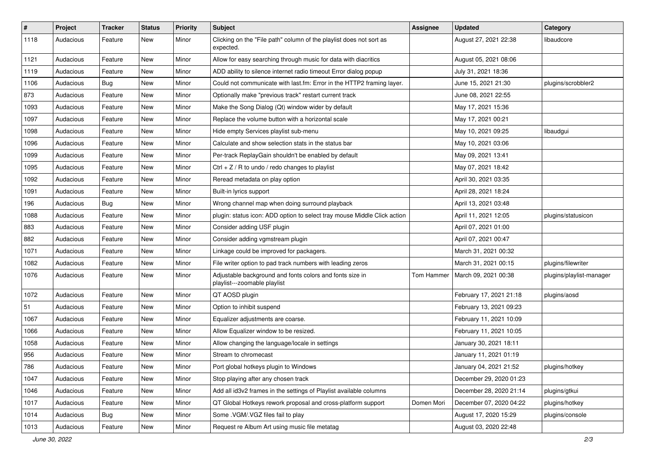| $\sharp$ | Project   | <b>Tracker</b> | <b>Status</b> | <b>Priority</b> | Subject                                                                                  | <b>Assignee</b> | <b>Updated</b>          | Category                 |
|----------|-----------|----------------|---------------|-----------------|------------------------------------------------------------------------------------------|-----------------|-------------------------|--------------------------|
| 1118     | Audacious | Feature        | New           | Minor           | Clicking on the "File path" column of the playlist does not sort as<br>expected.         |                 | August 27, 2021 22:38   | libaudcore               |
| 1121     | Audacious | Feature        | New           | Minor           | Allow for easy searching through music for data with diacritics                          |                 | August 05, 2021 08:06   |                          |
| 1119     | Audacious | Feature        | New           | Minor           | ADD ability to silence internet radio timeout Error dialog popup                         |                 | July 31, 2021 18:36     |                          |
| 1106     | Audacious | Bug            | New           | Minor           | Could not communicate with last.fm: Error in the HTTP2 framing layer.                    |                 | June 15, 2021 21:30     | plugins/scrobbler2       |
| 873      | Audacious | Feature        | New           | Minor           | Optionally make "previous track" restart current track                                   |                 | June 08, 2021 22:55     |                          |
| 1093     | Audacious | Feature        | New           | Minor           | Make the Song Dialog (Qt) window wider by default                                        |                 | May 17, 2021 15:36      |                          |
| 1097     | Audacious | Feature        | New           | Minor           | Replace the volume button with a horizontal scale                                        |                 | May 17, 2021 00:21      |                          |
| 1098     | Audacious | Feature        | New           | Minor           | Hide empty Services playlist sub-menu                                                    |                 | May 10, 2021 09:25      | libaudgui                |
| 1096     | Audacious | Feature        | New           | Minor           | Calculate and show selection stats in the status bar                                     |                 | May 10, 2021 03:06      |                          |
| 1099     | Audacious | Feature        | New           | Minor           | Per-track ReplayGain shouldn't be enabled by default                                     |                 | May 09, 2021 13:41      |                          |
| 1095     | Audacious | Feature        | New           | Minor           | Ctrl $+$ Z / R to undo / redo changes to playlist                                        |                 | May 07, 2021 18:42      |                          |
| 1092     | Audacious | Feature        | New           | Minor           | Reread metadata on play option                                                           |                 | April 30, 2021 03:35    |                          |
| 1091     | Audacious | Feature        | New           | Minor           | Built-in lyrics support                                                                  |                 | April 28, 2021 18:24    |                          |
| 196      | Audacious | <b>Bug</b>     | New           | Minor           | Wrong channel map when doing surround playback                                           |                 | April 13, 2021 03:48    |                          |
| 1088     | Audacious | Feature        | New           | Minor           | plugin: status icon: ADD option to select tray mouse Middle Click action                 |                 | April 11, 2021 12:05    | plugins/statusicon       |
| 883      | Audacious | Feature        | New           | Minor           | Consider adding USF plugin                                                               |                 | April 07, 2021 01:00    |                          |
| 882      | Audacious | Feature        | New           | Minor           | Consider adding vgmstream plugin                                                         |                 | April 07, 2021 00:47    |                          |
| 1071     | Audacious | Feature        | New           | Minor           | Linkage could be improved for packagers.                                                 |                 | March 31, 2021 00:32    |                          |
| 1082     | Audacious | Feature        | New           | Minor           | File writer option to pad track numbers with leading zeros                               |                 | March 31, 2021 00:15    | plugins/filewriter       |
| 1076     | Audacious | Feature        | New           | Minor           | Adjustable background and fonts colors and fonts size in<br>playlist---zoomable playlist | Tom Hammer      | March 09, 2021 00:38    | plugins/playlist-manager |
| 1072     | Audacious | Feature        | New           | Minor           | QT AOSD plugin                                                                           |                 | February 17, 2021 21:18 | plugins/aosd             |
| 51       | Audacious | Feature        | New           | Minor           | Option to inhibit suspend                                                                |                 | February 13, 2021 09:23 |                          |
| 1067     | Audacious | Feature        | New           | Minor           | Equalizer adjustments are coarse.                                                        |                 | February 11, 2021 10:09 |                          |
| 1066     | Audacious | Feature        | New           | Minor           | Allow Equalizer window to be resized.                                                    |                 | February 11, 2021 10:05 |                          |
| 1058     | Audacious | Feature        | New           | Minor           | Allow changing the language/locale in settings                                           |                 | January 30, 2021 18:11  |                          |
| 956      | Audacious | Feature        | New           | Minor           | Stream to chromecast                                                                     |                 | January 11, 2021 01:19  |                          |
| 786      | Audacious | Feature        | New           | Minor           | Port global hotkeys plugin to Windows                                                    |                 | January 04, 2021 21:52  | plugins/hotkey           |
| 1047     | Audacious | Feature        | New           | Minor           | Stop playing after any chosen track                                                      |                 | December 29, 2020 01:23 |                          |
| 1046     | Audacious | Feature        | New           | Minor           | Add all id3v2 frames in the settings of Playlist available columns                       |                 | December 28, 2020 21:14 | plugins/gtkui            |
| 1017     | Audacious | Feature        | New           | Minor           | QT Global Hotkeys rework proposal and cross-platform support                             | Domen Mori      | December 07, 2020 04:22 | plugins/hotkey           |
| 1014     | Audacious | <b>Bug</b>     | New           | Minor           | Some .VGM/.VGZ files fail to play                                                        |                 | August 17, 2020 15:29   | plugins/console          |
| 1013     | Audacious | Feature        | New           | Minor           | Request re Album Art using music file metatag                                            |                 | August 03, 2020 22:48   |                          |